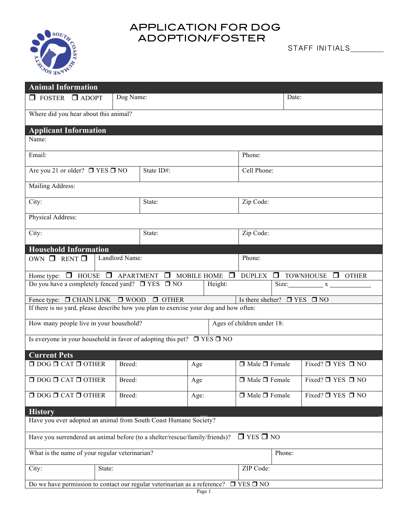## APPLICATION FOR DOG ADOPTION/FOSTER



| <b>Animal Information</b>                                                                               |           |                            |           |                           |        |                             |  |
|---------------------------------------------------------------------------------------------------------|-----------|----------------------------|-----------|---------------------------|--------|-----------------------------|--|
| $\Box$ FOSTER $\Box$ ADOPT                                                                              | Dog Name: |                            |           | Date:                     |        |                             |  |
| Where did you hear about this animal?                                                                   |           |                            |           |                           |        |                             |  |
| <b>Applicant Information</b>                                                                            |           |                            |           |                           |        |                             |  |
| Name:                                                                                                   |           |                            |           |                           |        |                             |  |
| Email:                                                                                                  |           |                            |           | Phone:                    |        |                             |  |
| Are you 21 or older? $\Box$ YES $\Box$ NO                                                               |           | State ID#:                 |           | Cell Phone:               |        |                             |  |
| Mailing Address:                                                                                        |           |                            |           |                           |        |                             |  |
| City:                                                                                                   |           | State:                     |           | Zip Code:                 |        |                             |  |
| Physical Address:                                                                                       |           |                            |           |                           |        |                             |  |
| City:                                                                                                   |           | State:                     |           | Zip Code:                 |        |                             |  |
| <b>Household Information</b>                                                                            |           |                            |           |                           |        |                             |  |
| Landlord Name:<br>OWN $\Box$ RENT $\Box$                                                                |           |                            |           | Phone:                    |        |                             |  |
| Home type: $\Box$ HOUSE $\Box$ APARTMENT $\Box$ MOBILE HOME $\Box$ DUPLEX $\Box$ TOWNHOUSE $\Box$ OTHER |           |                            |           |                           |        |                             |  |
| Do you have a completely fenced yard? $\Box$ YES $\Box$ NO<br>Height:<br>Size: $x$                      |           |                            |           |                           |        |                             |  |
| Fence type: $\Box$ CHAIN LINK $\Box$ WOOD<br>Is there shelter? $\Box$ YES $\Box$ NO<br>$\Box$ OTHER     |           |                            |           |                           |        |                             |  |
| If there is no yard, please describe how you plan to exercise your dog and how often:                   |           |                            |           |                           |        |                             |  |
| How many people live in your household?                                                                 |           | Ages of children under 18: |           |                           |        |                             |  |
| Is everyone in your household in favor of adopting this pet? $\Box$ YES $\Box$ NO                       |           |                            |           |                           |        |                             |  |
| <b>Current Pets</b>                                                                                     |           |                            |           |                           |        |                             |  |
| $\Box$ DOG $\Box$ CAT $\Box$ OTHER                                                                      | Breed:    | Age                        |           | $\Box$ Male $\Box$ Female |        | Fixed? $\Box$ YES $\Box$ NO |  |
| $\Box$ DOG $\Box$ CAT $\Box$ OTHER                                                                      | Breed:    | Age                        |           | $\Box$ Male $\Box$ Female |        | Fixed? $\Box$ YES $\Box$ NO |  |
| $\Box$ DOG $\Box$ CAT $\Box$ OTHER                                                                      | Breed:    | Age:                       |           | $\Box$ Male $\Box$ Female |        | Fixed? $\Box$ YES $\Box$ NO |  |
| <b>History</b>                                                                                          |           |                            |           |                           |        |                             |  |
| Have you ever adopted an animal from South Coast Humane Society?                                        |           |                            |           |                           |        |                             |  |
| $\Box$ YES $\Box$ NO<br>Have you surrendered an animal before (to a shelter/rescue/family/friends)?     |           |                            |           |                           |        |                             |  |
| What is the name of your regular veterinarian?                                                          |           |                            |           |                           | Phone: |                             |  |
| City:<br>State:                                                                                         |           |                            | ZIP Code: |                           |        |                             |  |
| Do we have permission to contact our regular veterinarian as a reference?<br>$\Box$ YES $\Box$ NO       |           |                            |           |                           |        |                             |  |